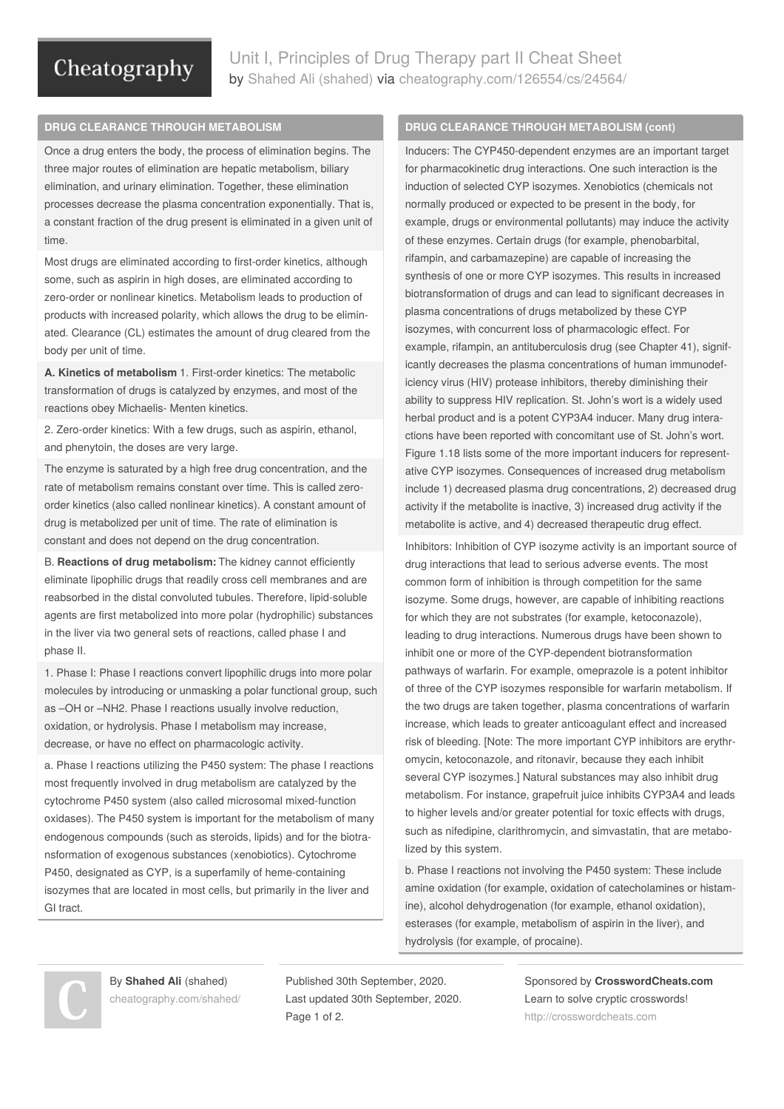## Cheatography

Unit I, Principles of Drug Therapy part II Cheat Sheet by Shahed Ali [\(shahed\)](http://www.cheatography.com/shahed/) via [cheatography.com/126554/cs/24564/](http://www.cheatography.com/shahed/cheat-sheets/unit-i-principles-of-drug-therapy-part-ii)

### **DRUG CLEARANCE THROUGH METABOLISM**

Once a drug enters the body, the process of elimination begins. The three major routes of elimination are hepatic metabolism, biliary elimination, and urinary elimination. Together, these elimination processes decrease the plasma concentration exponentially. That is, a constant fraction of the drug present is eliminated in a given unit of time.

Most drugs are eliminated according to first-order kinetics, although some, such as aspirin in high doses, are eliminated according to zero-order or nonlinear kinetics. Metabolism leads to production of products with increased polarity, which allows the drug to be elimin‐ ated. Clearance (CL) estimates the amount of drug cleared from the body per unit of time.

**A. Kinetics of metabolism** 1. First-order kinetics: The metabolic transformation of drugs is catalyzed by enzymes, and most of the reactions obey Michaelis- Menten kinetics.

2. Zero-order kinetics: With a few drugs, such as aspirin, ethanol, and phenytoin, the doses are very large.

The enzyme is saturated by a high free drug concentration, and the rate of metabolism remains constant over time. This is called zeroorder kinetics (also called nonlinear kinetics). A constant amount of drug is metabolized per unit of time. The rate of elimination is constant and does not depend on the drug concentration.

B. **Reactions of drug metabolism:** The kidney cannot efficiently eliminate lipophilic drugs that readily cross cell membranes and are reabsorbed in the distal convoluted tubules. Therefore, lipid-soluble agents are first metabolized into more polar (hydrophilic) substances in the liver via two general sets of reactions, called phase I and phase II.

1. Phase I: Phase I reactions convert lipophilic drugs into more polar molecules by introducing or unmasking a polar functional group, such as –OH or –NH2. Phase I reactions usually involve reduction, oxidation, or hydrolysis. Phase I metabolism may increase, decrease, or have no effect on pharmacologic activity.

a. Phase I reactions utilizing the P450 system: The phase I reactions most frequently involved in drug metabolism are catalyzed by the cytochrome P450 system (also called microsomal mixed-function oxidases). The P450 system is important for the metabolism of many endogenous compounds (such as steroids, lipids) and for the biotransformation of exogenous substances (xenobiotics). Cytochrome P450, designated as CYP, is a superfamily of heme-containing isozymes that are located in most cells, but primarily in the liver and GI tract.

### **DRUG CLEARANCE THROUGH METABOLISM (cont)**

Inducers: The CYP450-dependent enzymes are an important target for pharmacokinetic drug interactions. One such interaction is the induction of selected CYP isozymes. Xenobiotics (chemicals not normally produced or expected to be present in the body, for example, drugs or environmental pollutants) may induce the activity of these enzymes. Certain drugs (for example, phenobarbital, rifampin, and carbamazepine) are capable of increasing the synthesis of one or more CYP isozymes. This results in increased biotransformation of drugs and can lead to significant decreases in plasma concentrations of drugs metabolized by these CYP isozymes, with concurrent loss of pharmacologic effect. For example, rifampin, an antituberculosis drug (see Chapter 41), signif‐ icantly decreases the plasma concentrations of human immunodef‐ iciency virus (HIV) protease inhibitors, thereby diminishing their ability to suppress HIV replication. St. John's wort is a widely used herbal product and is a potent CYP3A4 inducer. Many drug interactions have been reported with concomitant use of St. John's wort. Figure 1.18 lists some of the more important inducers for represent‐ ative CYP isozymes. Consequences of increased drug metabolism include 1) decreased plasma drug concentrations, 2) decreased drug activity if the metabolite is inactive, 3) increased drug activity if the metabolite is active, and 4) decreased therapeutic drug effect.

Inhibitors: Inhibition of CYP isozyme activity is an important source of drug interactions that lead to serious adverse events. The most common form of inhibition is through competition for the same isozyme. Some drugs, however, are capable of inhibiting reactions for which they are not substrates (for example, ketoconazole), leading to drug interactions. Numerous drugs have been shown to inhibit one or more of the CYP-dependent biotransformation pathways of warfarin. For example, omeprazole is a potent inhibitor of three of the CYP isozymes responsible for warfarin metabolism. If the two drugs are taken together, plasma concentrations of warfarin increase, which leads to greater anticoagulant effect and increased risk of bleeding. [Note: The more important CYP inhibitors are erythr‐ omycin, ketoconazole, and ritonavir, because they each inhibit several CYP isozymes.] Natural substances may also inhibit drug metabolism. For instance, grapefruit juice inhibits CYP3A4 and leads to higher levels and/or greater potential for toxic effects with drugs, such as nifedipine, clarithromycin, and simvastatin, that are metabolized by this system.

b. Phase I reactions not involving the P450 system: These include amine oxidation (for example, oxidation of catecholamines or histam‐ ine), alcohol dehydrogenation (for example, ethanol oxidation), esterases (for example, metabolism of aspirin in the liver), and hydrolysis (for example, of procaine).

By **Shahed Ali** (shahed) [cheatography.com/shahed/](http://www.cheatography.com/shahed/) Published 30th September, 2020. Last updated 30th September, 2020. Page 1 of 2.

Sponsored by **CrosswordCheats.com** Learn to solve cryptic crosswords! <http://crosswordcheats.com>